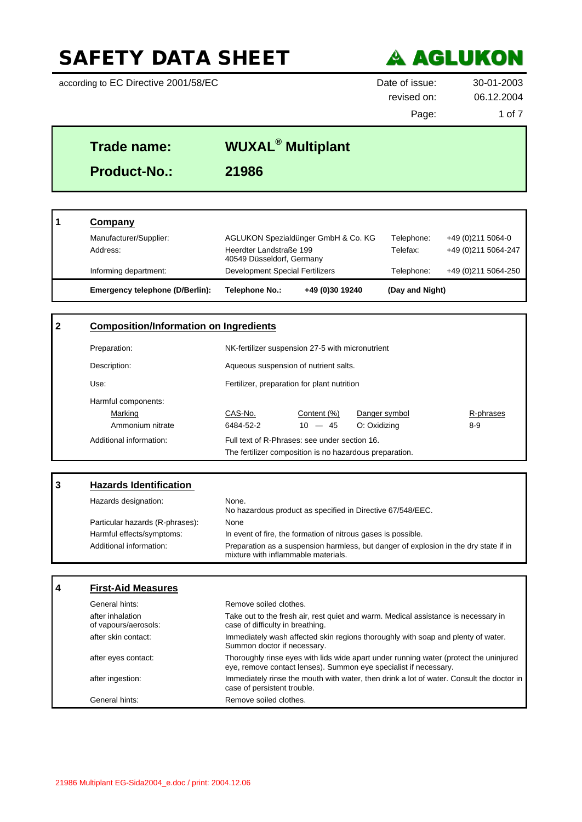according to EC Directive 2001/58/EC Date of issue: 30-01-2003



revised on: 06.12.2004

Page: 1 of 7

٦

| Trade name:         | <b>WUXAL<sup>®</sup> Multiplant</b> |  |
|---------------------|-------------------------------------|--|
| <b>Product-No.:</b> | 21986                               |  |
|                     |                                     |  |

| Emergency telephone (D/Berlin): | Telephone No.:                                       | +49 (0)30 19240                     | (Day and Night) |                      |
|---------------------------------|------------------------------------------------------|-------------------------------------|-----------------|----------------------|
| Informing department:           | Development Special Fertilizers                      |                                     | Telephone:      | +49 (0) 211 5064-250 |
| Address:                        | Heerdter Landstraße 199<br>40549 Düsseldorf, Germany |                                     | Telefax:        | +49 (0) 211 5064-247 |
| Manufacturer/Supplier:          |                                                      | AGLUKON Spezialdünger GmbH & Co. KG | Telephone:      | +49 (0) 211 5064-0   |
| Company                         |                                                      |                                     |                 |                      |

| $\mathbf{2}$ |                         | <b>Composition/Information on Ingredients</b>           |                                       |               |           |
|--------------|-------------------------|---------------------------------------------------------|---------------------------------------|---------------|-----------|
|              | Preparation:            | NK-fertilizer suspension 27-5 with micronutrient        |                                       |               |           |
|              | Description:            |                                                         | Aqueous suspension of nutrient salts. |               |           |
|              | Use:                    | Fertilizer, preparation for plant nutrition             |                                       |               |           |
|              | Harmful components:     |                                                         |                                       |               |           |
|              | Marking                 | CAS-No.                                                 | Content (%)                           | Danger symbol | R-phrases |
|              | Ammonium nitrate        | 6484-52-2                                               | $10 - 45$                             | O: Oxidizing  | $8-9$     |
|              | Additional information: | Full text of R-Phrases: see under section 16.           |                                       |               |           |
|              |                         | The fertilizer composition is no hazardous preparation. |                                       |               |           |

| 3 | <b>Hazards Identification</b>            |                                                                                                                                                           |
|---|------------------------------------------|-----------------------------------------------------------------------------------------------------------------------------------------------------------|
|   | Hazards designation:                     | None.<br>No hazardous product as specified in Directive 67/548/EEC.                                                                                       |
|   | Particular hazards (R-phrases):          | None                                                                                                                                                      |
|   | Harmful effects/symptoms:                | In event of fire, the formation of nitrous gases is possible.                                                                                             |
|   | Additional information:                  | Preparation as a suspension harmless, but danger of explosion in the dry state if in<br>mixture with inflammable materials.                               |
|   |                                          |                                                                                                                                                           |
| 4 | <b>First-Aid Measures</b>                |                                                                                                                                                           |
|   | General hints:                           | Remove soiled clothes.                                                                                                                                    |
|   | after inhalation<br>of vapours/aerosols: | Take out to the fresh air, rest quiet and warm. Medical assistance is necessary in<br>case of difficulty in breathing.                                    |
|   | after skin contact:                      | Immediately wash affected skin regions thoroughly with soap and plenty of water.<br>Summon doctor if necessary.                                           |
|   | after eyes contact:                      | Thoroughly rinse eyes with lids wide apart under running water (protect the uninjured<br>eye, remove contact lenses). Summon eye specialist if necessary. |
|   | after ingestion:                         | Immediately rinse the mouth with water, then drink a lot of water. Consult the doctor in<br>case of persistent trouble.                                   |
|   | General hints:                           | Remove soiled clothes.                                                                                                                                    |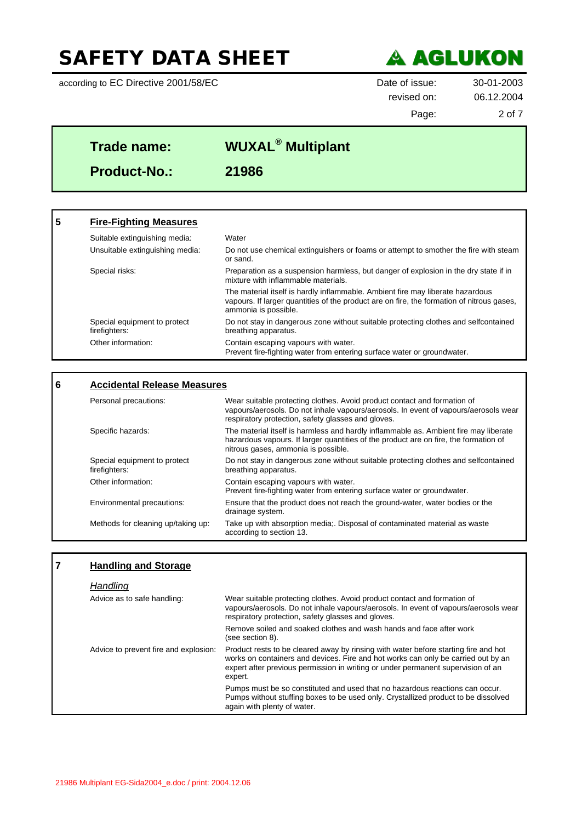according to EC Directive 2001/58/EC Date of issue: 30-01-2003



revised on: 06.12.2004

Page: 2 of 7

# **Trade name: WUXAL® Multiplant Product-No.: 21986**

| 5 | <b>Fire-Fighting Measures</b>                 |                                                                                                                                                                                                     |
|---|-----------------------------------------------|-----------------------------------------------------------------------------------------------------------------------------------------------------------------------------------------------------|
|   | Suitable extinguishing media:                 | Water                                                                                                                                                                                               |
|   | Unsuitable extinguishing media:               | Do not use chemical extinguishers or foams or attempt to smother the fire with steam<br>or sand.                                                                                                    |
|   | Special risks:                                | Preparation as a suspension harmless, but danger of explosion in the dry state if in<br>mixture with inflammable materials.                                                                         |
|   |                                               | The material itself is hardly inflammable. Ambient fire may liberate hazardous<br>vapours. If larger quantities of the product are on fire, the formation of nitrous gases,<br>ammonia is possible. |
|   | Special equipment to protect<br>firefighters: | Do not stay in dangerous zone without suitable protecting clothes and selfcontained<br>breathing apparatus.                                                                                         |
|   | Other information:                            | Contain escaping vapours with water.<br>Prevent fire-fighting water from entering surface water or groundwater.                                                                                     |

#### **6 Accidental Release Measures** Personal precautions: Wear suitable protecting clothes. Avoid product contact and formation of vapours/aerosols. Do not inhale vapours/aerosols. In event of vapours/aerosols wear respiratory protection, safety glasses and gloves. Specific hazards: The material itself is harmless and hardly inflammable as. Ambient fire may liberate hazardous vapours. If larger quantities of the product are on fire, the formation of nitrous gases, ammonia is possible. Special equipment to protect firefighters: Do not stay in dangerous zone without suitable protecting clothes and selfcontained breathing apparatus. Other information: Contain escaping vapours with water. Prevent fire-fighting water from entering surface water or groundwater. Environmental precautions: Ensure that the product does not reach the ground-water, water bodies or the drainage system. Methods for cleaning up/taking up: Take up with absorption media;. Disposal of contaminated material as waste according to section 13.

### **7 Handling and Storage**

#### *Handling*

| Advice as to safe handling:           | Wear suitable protecting clothes. Avoid product contact and formation of<br>vapours/aerosols. Do not inhale vapours/aerosols. In event of vapours/aerosols wear<br>respiratory protection, safety glasses and gloves.                                                   |
|---------------------------------------|-------------------------------------------------------------------------------------------------------------------------------------------------------------------------------------------------------------------------------------------------------------------------|
|                                       | Remove soiled and soaked clothes and wash hands and face after work<br>(see section 8).                                                                                                                                                                                 |
| Advice to prevent fire and explosion: | Product rests to be cleared away by rinsing with water before starting fire and hot<br>works on containers and devices. Fire and hot works can only be carried out by an<br>expert after previous permission in writing or under permanent supervision of an<br>expert. |
|                                       | Pumps must be so constituted and used that no hazardous reactions can occur.<br>Pumps without stuffing boxes to be used only. Crystallized product to be dissolved<br>again with plenty of water.                                                                       |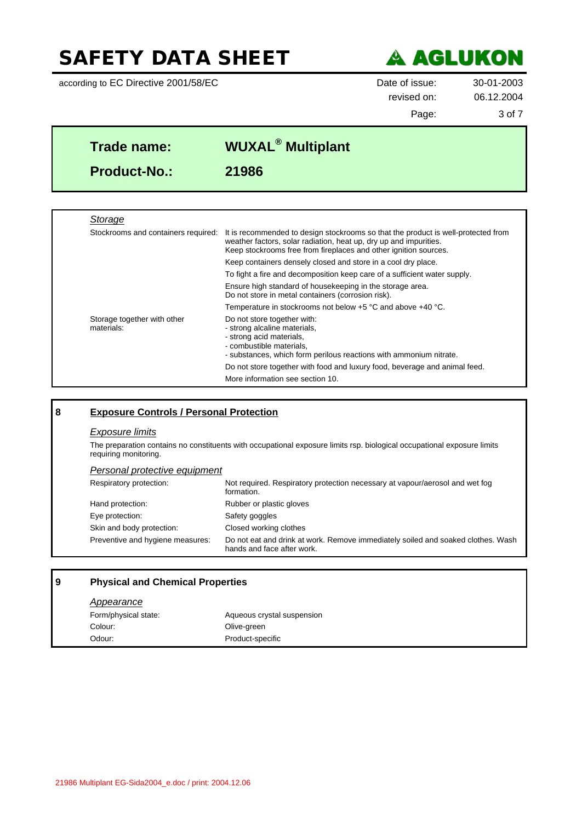according to EC Directive 2001/58/EC Date of issue: 30-01-2003



revised on: 06.12.2004

Page: 3 of 7

٦

| Trade name:         | <b>WUXAL<sup>®</sup> Multiplant</b> |
|---------------------|-------------------------------------|
| <b>Product-No.:</b> | 21986                               |

| Storage                                   |                                                                                                                                                                                                                            |
|-------------------------------------------|----------------------------------------------------------------------------------------------------------------------------------------------------------------------------------------------------------------------------|
| Stockrooms and containers required:       | It is recommended to design stockrooms so that the product is well-protected from<br>weather factors, solar radiation, heat up, dry up and impurities.<br>Keep stockrooms free from fireplaces and other ignition sources. |
|                                           | Keep containers densely closed and store in a cool dry place.                                                                                                                                                              |
|                                           | To fight a fire and decomposition keep care of a sufficient water supply.                                                                                                                                                  |
|                                           | Ensure high standard of housekeeping in the storage area.<br>Do not store in metal containers (corrosion risk).                                                                                                            |
|                                           | Temperature in stockrooms not below $+5$ °C and above $+40$ °C.                                                                                                                                                            |
| Storage together with other<br>materials: | Do not store together with:<br>- strong alcaline materials,<br>- strong acid materials,<br>- combustible materials.<br>- substances, which form perilous reactions with ammonium nitrate.                                  |
|                                           | Do not store together with food and luxury food, beverage and animal feed.                                                                                                                                                 |
|                                           | More information see section 10.                                                                                                                                                                                           |

### **8 Exposure Controls / Personal Protection**

#### *Exposure limits*

The preparation contains no constituents with occupational exposure limits rsp. biological occupational exposure limits requiring monitoring.

#### *Personal protective equipment*

| Respiratory protection:          | Not required. Respiratory protection necessary at vapour/aerosol and wet fog<br>formation.                     |
|----------------------------------|----------------------------------------------------------------------------------------------------------------|
| Hand protection:                 | Rubber or plastic gloves                                                                                       |
| Eye protection:                  | Safety goggles                                                                                                 |
| Skin and body protection:        | Closed working clothes                                                                                         |
| Preventive and hygiene measures: | Do not eat and drink at work. Remove immediately soiled and soaked clothes. Wash<br>hands and face after work. |

### **9 Physical and Chemical Properties**

#### *Appearance*

| Form/physical state: | Aqueous crystal suspension |
|----------------------|----------------------------|
| Colour:              | Olive-green                |
| Odour:               | Product-specific           |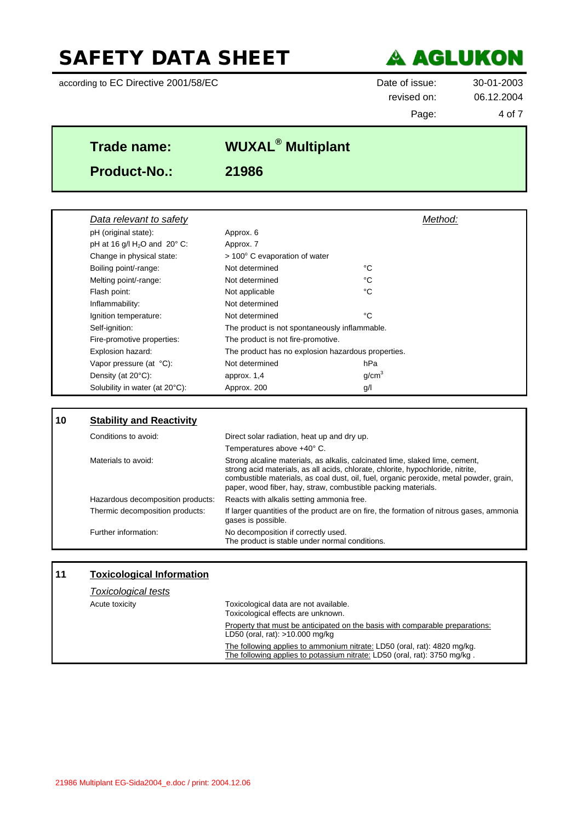according to EC Directive 2001/58/EC Date of issue: 30-01-2003



revised on: 06.12.2004 Page: 4 of 7

| Trade name:         | <b>WUXAL<sup>®</sup> Multiplant</b> |  |
|---------------------|-------------------------------------|--|
| <b>Product-No.:</b> | 21986                               |  |

| Data relevant to safety        |                                                    | Method:                                       |  |
|--------------------------------|----------------------------------------------------|-----------------------------------------------|--|
| pH (original state):           | Approx. 6                                          |                                               |  |
| pH at 16 g/l $H_2O$ and 20° C: | Approx. 7                                          |                                               |  |
| Change in physical state:      | $>$ 100 $^{\circ}$ C evaporation of water          |                                               |  |
| Boiling point/-range:          | Not determined                                     | °C                                            |  |
| Melting point/-range:          | Not determined                                     | °C                                            |  |
| Flash point:                   | Not applicable                                     | °C                                            |  |
| Inflammability:                | Not determined                                     |                                               |  |
| Ignition temperature:          | Not determined                                     | °C                                            |  |
| Self-ignition:                 |                                                    | The product is not spontaneously inflammable. |  |
| Fire-promotive properties:     | The product is not fire-promotive.                 |                                               |  |
| Explosion hazard:              | The product has no explosion hazardous properties. |                                               |  |
| Vapor pressure (at °C):        | Not determined                                     | hPa                                           |  |
| Density (at $20^{\circ}$ C):   | approx. 1,4                                        | q/cm <sup>3</sup>                             |  |
| Solubility in water (at 20°C): | Approx. 200                                        | g/l                                           |  |

| l 10 | <b>Stability and Reactivity</b>   |                                                                                                                                                                                                                                                                                                                            |
|------|-----------------------------------|----------------------------------------------------------------------------------------------------------------------------------------------------------------------------------------------------------------------------------------------------------------------------------------------------------------------------|
|      | Conditions to avoid:              | Direct solar radiation, heat up and dry up.                                                                                                                                                                                                                                                                                |
|      |                                   | Temperatures above +40° C.                                                                                                                                                                                                                                                                                                 |
|      | Materials to avoid:               | Strong alcaline materials, as alkalis, calcinated lime, slaked lime, cement,<br>strong acid materials, as all acids, chlorate, chlorite, hypochloride, nitrite,<br>combustible materials, as coal dust, oil, fuel, organic peroxide, metal powder, grain,<br>paper, wood fiber, hay, straw, combustible packing materials. |
|      | Hazardous decomposition products: | Reacts with alkalis setting ammonia free.                                                                                                                                                                                                                                                                                  |
|      | Thermic decomposition products:   | If larger quantities of the product are on fire, the formation of nitrous gases, ammonia<br>gases is possible.                                                                                                                                                                                                             |
|      | Further information:              | No decomposition if correctly used.<br>The product is stable under normal conditions.                                                                                                                                                                                                                                      |

| 11 | <b>Toxicological Information</b> |                                                                                                                                                       |
|----|----------------------------------|-------------------------------------------------------------------------------------------------------------------------------------------------------|
|    | <b>Toxicological tests</b>       |                                                                                                                                                       |
|    | Acute toxicity                   | Toxicological data are not available.<br>Toxicological effects are unknown.                                                                           |
|    |                                  | Property that must be anticipated on the basis with comparable preparations:<br>LD50 (oral, rat): $>10.000$ mg/kg                                     |
|    |                                  | The following applies to ammonium nitrate: LD50 (oral, rat): 4820 mg/kg.<br>The following applies to potassium nitrate: LD50 (oral, rat): 3750 mg/kg. |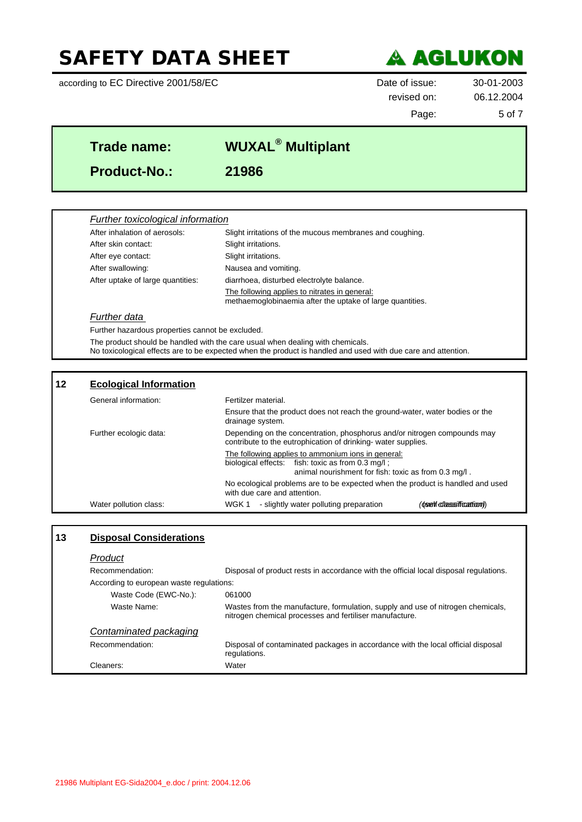according to EC Directive 2001/58/EC Date of issue: 30-01-2003



# revised on: 06.12.2004

Page: 5 of 7

٦

| Trade name:         | <b>WUXAL<sup>®</sup> Multiplant</b> |  |
|---------------------|-------------------------------------|--|
| <b>Product-No.:</b> | 21986                               |  |
|                     |                                     |  |

### *Further toxicological information*

| After inhalation of aerosols:     | Slight irritations of the mucous membranes and coughing.                                                   |
|-----------------------------------|------------------------------------------------------------------------------------------------------------|
| After skin contact:               | Slight irritations.                                                                                        |
| After eye contact:                | Slight irritations.                                                                                        |
| After swallowing:                 | Nausea and vomiting.                                                                                       |
| After uptake of large quantities: | diarrhoea, disturbed electrolyte balance.                                                                  |
|                                   | The following applies to nitrates in general:<br>methaemoglobinaemia after the uptake of large quantities. |
|                                   |                                                                                                            |

#### *Further data*

Further hazardous properties cannot be excluded.

The product should be handled with the care usual when dealing with chemicals.

No toxicological effects are to be expected when the product is handled and used with due care and attention.

### **12 Ecological Information**

| General information:   | Fertilzer material.                                                                                                                                             |
|------------------------|-----------------------------------------------------------------------------------------------------------------------------------------------------------------|
|                        | Ensure that the product does not reach the ground-water, water bodies or the<br>drainage system.                                                                |
| Further ecologic data: | Depending on the concentration, phosphorus and/or nitrogen compounds may<br>contribute to the eutrophication of drinking- water supplies.                       |
|                        | The following applies to ammonium ions in general:<br>biological effects: fish: toxic as from 0.3 mg/l;<br>animal nourishment for fish: toxic as from 0.3 mg/l. |
|                        | No ecological problems are to be expected when the product is handled and used<br>with due care and attention.                                                  |
| Water pollution class: | - slightly water polluting preparation<br>(csent chassification)<br>WGK 1                                                                                       |

### **13 Disposal Considerations**

| Product                                  |                                                                                                                                            |
|------------------------------------------|--------------------------------------------------------------------------------------------------------------------------------------------|
| Recommendation:                          | Disposal of product rests in accordance with the official local disposal regulations.                                                      |
| According to european waste regulations: |                                                                                                                                            |
| Waste Code (EWC-No.):                    | 061000                                                                                                                                     |
| Waste Name:                              | Wastes from the manufacture, formulation, supply and use of nitrogen chemicals,<br>nitrogen chemical processes and fertiliser manufacture. |
| Contaminated packaging                   |                                                                                                                                            |
| Recommendation:                          | Disposal of contaminated packages in accordance with the local official disposal<br>regulations.                                           |
| Cleaners:                                | Water                                                                                                                                      |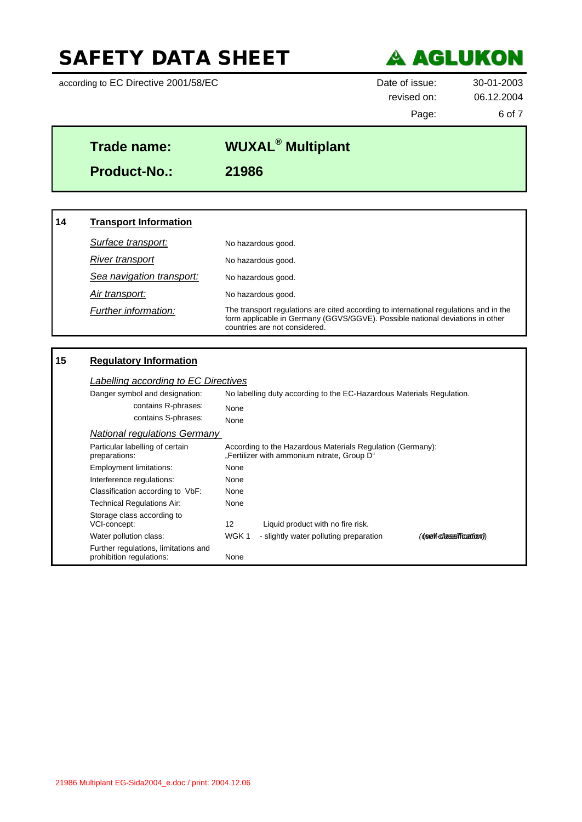according to EC Directive 2001/58/EC Date of issue: 30-01-2003



revised on: 06.12.2004 Page: 6 of 7

# **Trade name: WUXAL® Multiplant Product-No.: 21986**

### **14 Transport Information Surface transport:** No hazardous good. *River transport* No hazardous good. *Sea navigation transport:* No hazardous good. *Air transport:* No hazardous good. *Further information:* The transport regulations are cited according to international regulations and in the form applicable in Germany (GGVS/GGVE). Possible national deviations in other countries are not considered.

### **15 Regulatory Information**

| Danger symbol and designation:                                   | No labelling duty according to the EC-Hazardous Materials Regulation.                                     |                                        |                        |  |
|------------------------------------------------------------------|-----------------------------------------------------------------------------------------------------------|----------------------------------------|------------------------|--|
| contains R-phrases:                                              | None                                                                                                      |                                        |                        |  |
| contains S-phrases:                                              | None                                                                                                      |                                        |                        |  |
| <b>National regulations Germany</b>                              |                                                                                                           |                                        |                        |  |
| Particular labelling of certain<br>preparations:                 | According to the Hazardous Materials Regulation (Germany):<br>"Fertilizer with ammonium nitrate, Group D" |                                        |                        |  |
| <b>Employment limitations:</b>                                   | None                                                                                                      |                                        |                        |  |
| Interference regulations:                                        | None                                                                                                      |                                        |                        |  |
| Classification according to VbF:                                 | None                                                                                                      |                                        |                        |  |
| Technical Regulations Air:                                       | None                                                                                                      |                                        |                        |  |
| Storage class according to<br>VCI-concept:                       | 12                                                                                                        | Liquid product with no fire risk.      |                        |  |
| Water pollution class:                                           | WGK 1                                                                                                     | - slightly water polluting preparation | (oself classification) |  |
| Further regulations, limitations and<br>prohibition regulations: | None                                                                                                      |                                        |                        |  |